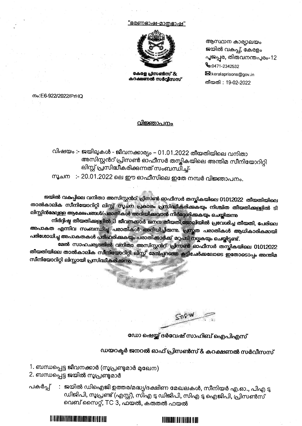#### <u>"ഭരണഭാഷ-മാതഭാഷ"</u>



കേരള പ്രസൺസ് & കറക്ഷണൽ സർവ്വീസസ്

ആസ്ഥാന കാര്യാലയം ജയിൽ വകുപ്പ്, കേരളം പൂജപ്പര, തിരുവനന്തപുരം-12 C:0471-2342532 A:keralaprisons@gov.in തീയതി : 19-02-2022

mo:E6-922/2022/PrHQ

#### <u>വിജ്ഞാപനം</u>

വിഷയം :- ജയിലുകൾ - ജീവനക്കാര്യം - 01.01.2022 തീയതിയിലെ വനിതാ അസിസ്റ്റൻറ് പ്രിസൺ ഓഫീസർ തസ്തികയിലെ അന്തിമ സീനിയോറിറ്റി ലിസ്റ്റ് പ്രസിദ്ധീകരിക്കുന്നത് സംബന്ധിച്ച്–

സൂചന $\;$ :- 20.01.2022 ലെ ഈ ഓഫീസിലെ ഇതേ നമ്പർ വിജ്ഞാപനം.

ജയിൽ വകുപ്പിലെ വനിതാ അസിസ്റ്റൻറ് പ്രിസൺ ഓഫീസർ തസ്തികയിലെ 01012022 തീയതിയിലെ താൽകാലിക സീനിയോറിറ്റി ലി<u>സ്റ്റ് സൂചന പ്രകാരം പ്രസിദ്ധീകരി</u>ക്കകയും നിശ്ചിത തീയതിക്കള്ളിൽ ടി ലിസ്റ്റിൻമേല്യള്ള ആക്ഷേപങ്ങൾ/പരാതികൾ അറിയിക്കവാൻ നിർദ്ദേശിക്കകയും ചെയ്തിരുന്ന

നിർദ്ദിഷ്ട തീയതിക്കള്ളിൽ 3 ജീവനക്കാർ ജനന തീയതി,ജോലിയിൽ പ്രവേശിച്ച തീയതി, പേരിലെ അപാകത എന്നിവ സംബന്ധിച്ച പരാതികൾ <mark>അറിയിച്ചി</mark>രുന്നു. ഹ്രസ്തത പരാതികൾ ആധികാരികമായി പരിശോധിച്ച അപാകതകൾ പരിഹരിക്കുകയും പരാതിക്കാർക്ക് മറ്റപടി നല്ലകയും ചെയ്തിട്ടുണ്ട്.

മേൽ സാഹചര്യത്തിൽ വനിതാ അസിസ്റ്റൻറ് പ്രിസൺ ഓഫീസർ തസ്തികയിലെ 01012022 തീയതിയിലെ താൽകാലിക സിനിയോറിറ്റി ലിസ്റ്റ് മേൽപ്പറഞ്ഞ <del>ഇ</del>ട്ടിചേർകലോടെ ഇതോടൊപ്പം അന്തിമ സീനിയോറിറ്റി ലിസ്റ്റായി പ്രസിദ്ധീകരിക്കുന്നു.

ഡോ ഷെയ്ക്ക് ദർവേഷ് സാഹിബ് ഐപിഎസ്

ഡയറക്ടർ ജനറൽ ഓഫ് പ്രിസൺസ് & കറക്ഷണൽ സർവീസസ്

1. ബന്ധപ്പെട്ട ജീവനക്കാർ (സൂപ്രണ്ടുമാർ മുഖേന) 2. ബന്ധപ്പെട്ട ജയിൽ സൂപ്രണ്ടുമാർ

II) JE I APIELAHAT KE KU JATI IT DI TERTI BAHAT KE KI IN BA

: ജയിൽ ഡിഐജി ഉത്തര/മദ്ധ്യ/ദക്ഷിണ മേഖലകൾ, സീനിയർ എ.ഓ., പിഎ ടു പകർപ്പ് ഡിജിപി, സൂപ്രണ്ട് (എസ്റ്റ്), സിഎ ടു ഡിജിപി, സിഎ ടു ഐജിപി, പ്രിസൺസ് വെബ് സൈറ്റ്, TC 3, ഫയൽ, കരുതൽ ഫയൽ

## AN ENGINAL ANG MANGHALANG MANG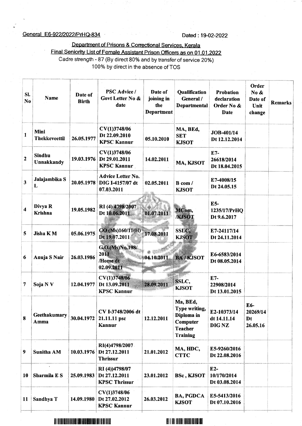### General E6-922/2022/PrHQ-834 Dated : 19-02-2022

Departnent of Prisons & Conectional Services. Kerala

Final Seniority List of Female Assistant Prison Officers as on 01.01.2022 Cadre strength - 87 (By direct 80% and by transfer of service 20%) 100% by direct in the absence of TOS

| Sl.<br>No        | <b>Name</b>                  | Date of<br><b>Birth</b> | <b>PSC Advice /</b><br>Govt Letter No &<br>date                | Date of<br>joining in<br>the<br><b>Department</b> | Qualification<br>General /<br>Departmental                                               | <b>Probation</b><br>declaration<br>Order No &<br>Date | Order<br>No &<br>Date of<br>Unit<br>change | <b>Remarks</b> |
|------------------|------------------------------|-------------------------|----------------------------------------------------------------|---------------------------------------------------|------------------------------------------------------------------------------------------|-------------------------------------------------------|--------------------------------------------|----------------|
| 1                | Mini<br><b>Thekkeveettil</b> | 26.05.1977              | CV(1)3748/06<br>Dt 22.09.2010<br><b>KPSC Kannur</b>            | 05.10.2010                                        | MA, BEd,<br><b>SET</b><br><b>KJSOT</b>                                                   | JOB-401/14<br>Dt 12.12.2014                           |                                            |                |
| $\overline{2}$   | <b>Sindhu</b><br>Unnakkandy  | 19.03.1976              | CV(1)3748/06<br>Dt 29.01.2011<br><b>KPSC Kannur</b>            | 14.02.2011                                        | MA, KJSOT                                                                                | E7-<br>26618/2014<br>Dt 18.04.2015                    |                                            |                |
| 3                | Jalajambika S<br>L           | 20.05.1978              | <b>Advice Letter No.</b><br>DIG I-4157/07 dt<br>07.03.2011     | 02.05.2011                                        | B com/<br><b>KJSOT</b>                                                                   | E7-4008/15<br>Dt 24.05.15                             |                                            |                |
| $\boldsymbol{4}$ | Divya R<br><b>Krishna</b>    | 19.05.1982              | RI(4) 4798/2007<br>Dt 10.06.2011                               | 01.07.2011                                        | MCom,<br><b>/KJSOT</b>                                                                   | E5-<br>1235/17/PrHQ<br>Dt 9.6.2017                    |                                            |                |
| 5                | Jisha KM                     | 05.06.1975              | GO (Ms)160/11(H)<br>Dt 19.07.2011                              | 17.08.2011                                        | SSLC,<br><b>KJSOT</b>                                                                    | E7-24117/14<br>Dt 24.11.2014                          |                                            |                |
| 6                | Anuja S Nair                 | 26.03.1986              | G.O.(Ms)No.198/<br>2011<br>/Home dt<br>02.09.2011              | 04.10.2011                                        | <b>BA/KJSOT</b>                                                                          | E6-6583/2014<br>Dt 08.05.2014                         |                                            |                |
| 7                | Soja N V                     | 12.04.1977              | CV(1)3748/06<br>Dt 13.09.2011<br><b>KPSC Kannur</b>            | 28.09.2011                                        | SSLC,<br><b>KJSOT</b>                                                                    | $E7-$<br>22908/2014<br>Dt 13.01.2015                  |                                            |                |
| 8                | Geethakumary<br>Amma         | 30.04.1972              | CV I-3748/2006 dt<br>21.11.11 psc<br>Kannur                    | 12.12.2011                                        | Ma, BEd,<br>Type writing,<br>Diploma in<br>Computer<br><b>Teacher</b><br><b>Training</b> | E2-10373/14<br>dt 14.11.14<br><b>DIGNZ</b>            | E6-<br>20269/14<br>Dt<br>26.05.16          |                |
| $\boldsymbol{9}$ | <b>Sunitha AM</b>            | 10.03.1976              | RI(4)4798/2007<br>Dt 27.12.2011<br><b>Thrissur</b>             | 21.01.2012                                        | MA, HDC,<br><b>CTTC</b>                                                                  | E5-9260/2016<br>Dt 22.08.2016                         |                                            |                |
| 10               | Sharmila E S                 | 25.09.1983              | RI(4))4798/07<br>Dt 27.12.2011<br><b>KPSC Thrissur</b>         | 23.01.2012                                        | <b>BSc, KJSOT</b>                                                                        | $E2-$<br>10/170/2014<br>Dt 03.08.2014                 |                                            |                |
| 11               | Sandhya T                    |                         | CV(1)3748/06<br>14.09.1980 Dt 27.02.2012<br><b>KPSC Kannur</b> | 26.03.2012                                        | <b>BA, PGDCA</b><br><b>KJSOT</b>                                                         | E5-5413/2016<br>Dt 07.10.2016                         |                                            |                |
|                  |                              |                         |                                                                |                                                   |                                                                                          |                                                       |                                            |                |



# ilti iltiililililil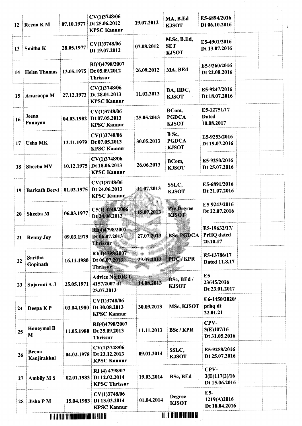| 12 | <b>Reena KM</b>             | 07.10.1977 | CV(1)3748/06<br>Dt 25.06.2012<br><b>KPSC Kannur</b>    | 19.07.2012 | MA, B.Ed<br><b>KJSOT</b>                                            | E5-6894/2016<br>Dt 06.10.2016             |  |
|----|-----------------------------|------------|--------------------------------------------------------|------------|---------------------------------------------------------------------|-------------------------------------------|--|
| 13 | <b>Smitha K</b>             | 28.05.1977 | CV(1)3748/06<br>Dt 19.07.2012                          | 07.08.2012 | M.Sc, B.Ed,<br><b>SET</b><br><b>KJSOT</b>                           | E5-4901/2016<br>Dt 13.07.2016             |  |
| 14 | <b>Helen Thomas</b>         | 13.05.1975 | RI(4)4798/2007<br>Dt 05.09.2012<br><b>Thrissur</b>     | 26.09.2012 | MA, BEd                                                             | E5-9260/2016<br>Dt 22.08.2016             |  |
| 15 | Anuroopa M                  | 27.12.1973 | CV(1)3748/06<br>Dt 28.01.2013<br><b>KPSC Kannur</b>    | 11.02.2013 | BA, HDC,<br><b>KJSOT</b>                                            | E5-9247/2016<br>Dt 18.07.2016             |  |
| 16 | Jeena<br>Panayan            | 04.03.1982 | CV(1)3748/06<br>Dt 07.05.2013<br><b>KPSC Kannur</b>    | 25.05.2013 | BCom,<br><b>PGDCA</b><br><b>KJSOT</b>                               | E5-12751/17<br><b>Dated</b><br>10.08.2017 |  |
| 17 | <b>Usha MK</b>              | 12.11.1979 | CV(1)3748/06<br>Dt 07.05.2013<br><b>KPSC Kannur</b>    | 30.05.2013 | B Sc,<br><b>PGDCA</b><br><b>KJSOT</b>                               | E5-9253/2016<br>Dt 19.07.2016             |  |
| 18 | Sheeba MV                   | 10.12.1975 | CV(1)3748/06<br>Dt 18.06.2013<br><b>KPSC Kannur</b>    | 26.06.2013 | BCom,<br><b>KJSOT</b>                                               | E5-9250/2016<br>Dt 25.07.2016             |  |
| 19 | <b>Barkath Beevi</b>        | 01.02.1975 | CV(1)3748/06<br>Dt 24.06.2013<br><b>KPSC Kannur</b>    | 11.07.2013 | SSLC,<br><b>KJSOT</b>                                               | E5-6891/2016<br>Dt 21.07.2016             |  |
| 20 | Sheeba M                    | 06.03.1977 | C5(1) 3748/2006<br>Dt 24.06.2013                       | 15.07.2013 | <b>Pre Degree</b><br><b>KJSOT</b>                                   | E5-9243/2016<br>Dt 22.07.2016             |  |
| 21 | <b>Renny Joy</b>            | 09.03.1979 | RI(4)4798/2007<br>Dt 06.07.2013<br><b>Thrissur</b>     | 27.07.2013 | <b>BSc, PGDCA</b>                                                   | E5-19632/17/<br>PrHQ dated<br>20.10.17    |  |
| 22 | <b>Saritha</b><br>Gopinath  | 16.11.1980 | RI(4)4798/2007<br>Dt 06.07.2013<br>Thrissur            | 29.07.2013 | PDC/KPR                                                             | E5-13786/17<br>Dated 11.8.17              |  |
| 23 | Sujarani A J                | 25.05.1971 | Advice No.DIG I-<br>4157/2007 dt<br>23.07.2013         | 14.08.2013 | BSc, BEd /<br><b>KJSOT</b>                                          | E5-<br>23645/2016<br>Dt 23.01.2017        |  |
| 24 | Deepa KP                    | 03.04.1980 | CV(1)3748/06<br>Dt 30.08.2013<br><b>KPSC Kannur</b>    | 30.09.2013 | MSc, KJSOT                                                          | E6-1450/2020/<br>prhq dt<br>22.01.21      |  |
| 25 | <b>Honeymol B</b><br>M      | 11.05.1980 | RI(4)4798/2007<br>Dt 25.09.2013<br><b>Thrissur</b>     | 11.11.2013 | <b>BSc/KPR</b>                                                      | CPV-<br>3(E)107/16<br>Dt 31.05.2016       |  |
| 26 | <b>Beena</b><br>Kanjirakkol | 04.02.1978 | CV(1)3748/06<br>Dt 23.12.2013<br><b>KPSC Kannur</b>    | 09.01.2014 | SSLC,<br><b>KJSOT</b>                                               | E5-9258/2016<br>Dt 25.07.2016             |  |
| 27 | <b>Ambily MS</b>            | 02.01.1983 | RI(4) 4798/07<br>Dt 12.02.2014<br><b>KPSC Thrissur</b> | 19.03.2014 | <b>BSc, BEd</b>                                                     | CPV-<br>3(E)117(2)/16<br>Dt 15.06.2016    |  |
| 28 | Jisha P M                   | 15.04.1983 | CV(1)3748/06<br>Dt 13.03.2014<br><b>KPSC Kannur</b>    | 01.04.2014 | <b>Degree</b><br><b>KJSOT</b><br>THE PERSON NAMED IN THE OWNER WHEN | E5-<br>1219(A)2016<br>Dt 18.04.2016       |  |

<u> All i al III-le i al antidad da</u>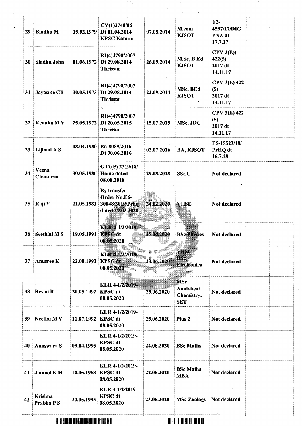| 29 | <b>Bindhu M</b>       | 15.02.1979         | CV(1)3748/06<br>Dt 01.04.2014<br><b>KPSC Kannur</b>                  | 07.05.2014         | M.com<br><b>KJSOT</b>                                | E2-<br>4597/17/DIG<br>PNZ dt<br>17.7.17           |  |
|----|-----------------------|--------------------|----------------------------------------------------------------------|--------------------|------------------------------------------------------|---------------------------------------------------|--|
| 30 | Sindhu John           | 01.06.1972         | RI(4)4798/2007<br>Dt 29.08.2014<br><b>Thrissur</b>                   | 26.09.2014         | M.Sc, B.Ed<br><b>KJSOT</b>                           | $CPV$ 3 $(E)$ )<br>422(5)<br>2017 dt<br>14.11.17  |  |
| 31 | Jayasree CB           |                    | RI(4)4798/2007<br>30.05.1973 Dt 29.08.2014<br><b>Thrissur</b>        | 22.09.2014         | MSc, BEd<br><b>KJSOT</b>                             | <b>CPV 3(E) 422</b><br>(5)<br>2017 dt<br>14.11.17 |  |
| 32 | <b>Renuka MV</b>      | 25.05.1972         | RI(4)4798/2007<br>Dt 20.05.2015<br><b>Thrissur</b>                   | 15.07.2015         | MSc, JDC                                             | <b>CPV 3(E) 422</b><br>(5)<br>2017 dt<br>14.11.17 |  |
| 33 | Lijimol A S           |                    | 08.04.1980 E6-8089/2016<br>Dt 30.06.2016                             | 02.07.2016         | <b>BA, KJSOT</b>                                     | E5-15523/18/<br>PrHQ dt<br>16.7.18                |  |
| 34 | Veena<br>Chandran     | 30.05.1986         | G.O.(P) 2319/18/<br><b>Home</b> dated<br>08.08.2018                  | 29.08.2018         | <b>SSLC</b>                                          | Not declared                                      |  |
|    | 35 Raji V             | 21.05.1981         | By transfer -<br>Order No.E6-<br>30048/2019/Prhq<br>dated 19.02.2020 | 24.02.2020         | <b>VHSE</b>                                          | <b>Not declared</b>                               |  |
| 36 | <b>Seethini MS</b>    | 19.05.1991 KPSC dt | KLR 4-1/2/2019<br>08.05.2020                                         | 25.06.2020         | <b>BSc Physics</b><br>a William                      | Not declared                                      |  |
| 37 | Anusree K             | 22.08.1993         | KLR 4-1/2/2019-<br><b>KPSC</b> dt<br>08.05.2020                      | a ti<br>23.06.2020 | <b>VHSC</b><br>BSc.<br><b>Electronics</b>            | <b>Not declared</b>                               |  |
| 38 | Resmi R               | 20.05.1992 KPSC dt | KLR 4-1/2/2019-<br>08.05.2020                                        | 25.06.2020         | <b>MSc</b><br>Analytical<br>Chemistry,<br><b>SET</b> | Not declared                                      |  |
| 39 | Neethu MV             | 11.07.1992 KPSC dt | KLR 4-1/2/2019-<br>08.05.2020                                        | 25.06.2020         | Plus <sub>2</sub>                                    | Not declared                                      |  |
| 40 | Anaswara S            | 09.04.1995         | KLR 4-1/2/2019-<br><b>KPSC</b> dt<br>08.05.2020                      | 24.06.2020         | <b>BSc Maths</b>                                     | Not declared                                      |  |
| 41 | Jinimol KM            | 10.05.1988 KPSC dt | KLR 4-1/2/2019-<br>08.05.2020                                        | 22.06.2020         | <b>BSc Maths</b><br><b>MBA</b>                       | Not declared                                      |  |
| 42 | Krishna<br>Prabha P S | 20.05.1993         | KLR 4-1/2/2019-<br><b>KPSC</b> dt<br>08.05.2020                      | 23.06.2020         | <b>MSc Zoology</b>                                   | Not declared                                      |  |

lli i dell'all'i serie i suali dell'all'i serie i la co

<sup>I</sup>illil ]tIililililIil]il]t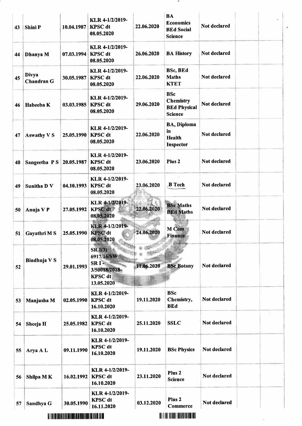| 43 | Shini P                    | 10.04.1987                                                                                                           | KLR 4-1/2/2019-<br><b>KPSC</b> dt<br>08.05.2020                                          | 22.06.2020 | BA<br><b>Economics</b><br><b>BEd Social</b><br><b>Science</b>           | Not declared | ÷, |
|----|----------------------------|----------------------------------------------------------------------------------------------------------------------|------------------------------------------------------------------------------------------|------------|-------------------------------------------------------------------------|--------------|----|
| 44 | Dhanya M                   | 07.03.1994                                                                                                           | KLR 4-1/2/2019-<br><b>KPSC</b> dt<br>08.05.2020                                          | 26.06.2020 | <b>BA History</b>                                                       | Not declared |    |
| 45 | Divya<br><b>Chandran G</b> | 30.05.1987                                                                                                           | KLR 4-1/2/2019-<br><b>KPSC</b> dt<br>08.05.2020                                          | 22.06.2020 | <b>BSc, BEd</b><br><b>Maths</b><br><b>KTET</b>                          | Not declared |    |
| 46 | Habeeba K                  | 03.03.1985                                                                                                           | KLR 4-1/2/2019-<br><b>KPSC</b> dt<br>08.05.2020                                          | 29.06.2020 | <b>BSc</b><br><b>Chemistry</b><br><b>BEd Physical</b><br><b>Science</b> | Not declared |    |
| 47 | <b>Aswathy V S</b>         | 25.05.1990                                                                                                           | KLR 4-1/2/2019-<br><b>KPSC</b> dt<br>08.05.2020                                          | 22.06.2020 | <b>BA, Diploma</b><br>in<br><b>Health</b><br><b>Inspector</b>           | Not declared |    |
| 48 | Sangeetha PS               | 20.05.1987                                                                                                           | KLR 4-1/2/2019-<br><b>KPSC</b> dt<br>08.05.2020                                          | 23.06.2020 | Plus <sub>2</sub>                                                       | Not declared |    |
| 49 | <b>Sunitha D V</b>         | 04.10.1993                                                                                                           | KLR 4-1/2/2019-<br><b>KPSC</b> dt<br>08.05.2020                                          | 23.06.2020 | $\mathbb{C}^{\times}$<br><b>B</b> Tech                                  | Not declared |    |
| 50 | Anuja V P                  | 27.05.1992                                                                                                           | KLR 4-1/2/2019-<br>KPSC dt<br>08.05.2020                                                 | 22.06.2020 | <b>BSc Maths</b><br><b>BEd Maths</b>                                    | Not declared |    |
| 51 | Gayathri M S               | 25.05.1990                                                                                                           | KLR 4-1/2/2019-<br><b>KPSC</b> dt<br>08.05.2020                                          | 24.06.2020 | M Com<br><b>Finance</b>                                                 | Not declared |    |
| 52 | Bindhuja V S               | 29.01.1993                                                                                                           | SR(3)<br>6917/16/SW<br>SRI <sup>3</sup><br>3/50018/2018-<br><b>KPSC</b> dt<br>13.05.2020 | 11.06.2020 | <b>BSc Botany</b>                                                       | Not declared |    |
| 53 | Manjusha M                 | 02.05.1990                                                                                                           | KLR 4-1/2/2019-<br><b>KPSC</b> dt<br>16.10.2020                                          | 19.11.2020 | <b>BSc</b><br>Chemistry,<br><b>BEd</b>                                  | Not declared |    |
| 54 | Sheeja H                   | 25.05.1982                                                                                                           | KLR 4-1/2/2019-<br>KPSC dt<br>16.10.2020                                                 | 25.11.2020 | <b>SSLC</b>                                                             | Not declared |    |
| 55 | Arya A L                   | 09.11.1990                                                                                                           | KLR 4-1/2/2019-<br><b>KPSC</b> dt<br>16.10.2020                                          | 19.11.2020 | <b>BSc Physics</b>                                                      | Not declared |    |
| 56 | Shilpa MK                  | 16.02.1992                                                                                                           | KLR 4-1/2/2019-<br><b>KPSC</b> dt<br>16.10.2020                                          | 23.11.2020 | Plus <sub>2</sub><br><b>Science</b>                                     | Not declared |    |
| 57 | Sandhya G                  | 30.05.1990                                                                                                           | KLR 4-1/2/2019-<br><b>KPSC</b> dt<br>16.11.2020                                          | 03.12.2020 | Plus <sub>2</sub><br>Commerce                                           | Not declared |    |
|    |                            | <u>A I A LA INTENDENTAL DE LA INTENDEDA A LA INTENDEDA A LA INTENDEDA A LA INTENDEDA A LA INTENDEDA A LA INTENDE</u> |                                                                                          |            | <u> Ali i bi hila in bili bi bil</u>                                    |              |    |

 $\ddot{\phantom{0}}$ 

 $\overline{\phantom{a}}$